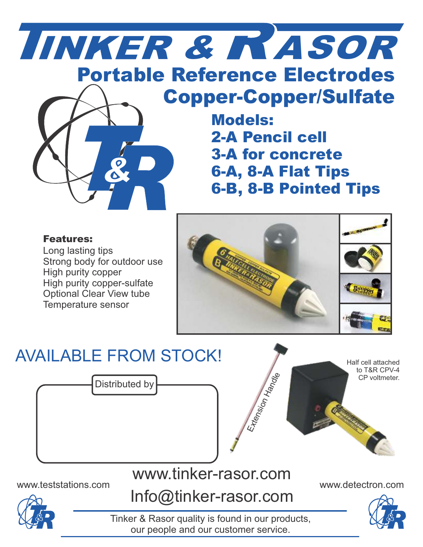

## Copper-Copper/Sulfate

Models: 2-A Pencil cell 3-A for concrete 6-A, 8-A Flat Tips 6-B, 8-B Pointed Tips

### Features:

Long lasting tips Strong body for outdoor use High purity copper High purity copper-sulfate Optional Clear View tube Temperature sensor



## AVAILABLE FROM STOCK!



## www.tinker-rasor.com

www.teststations.com www.detectron.com



Half cell attached



Tinker & Rasor quality is found in our products, our people and our customer service.